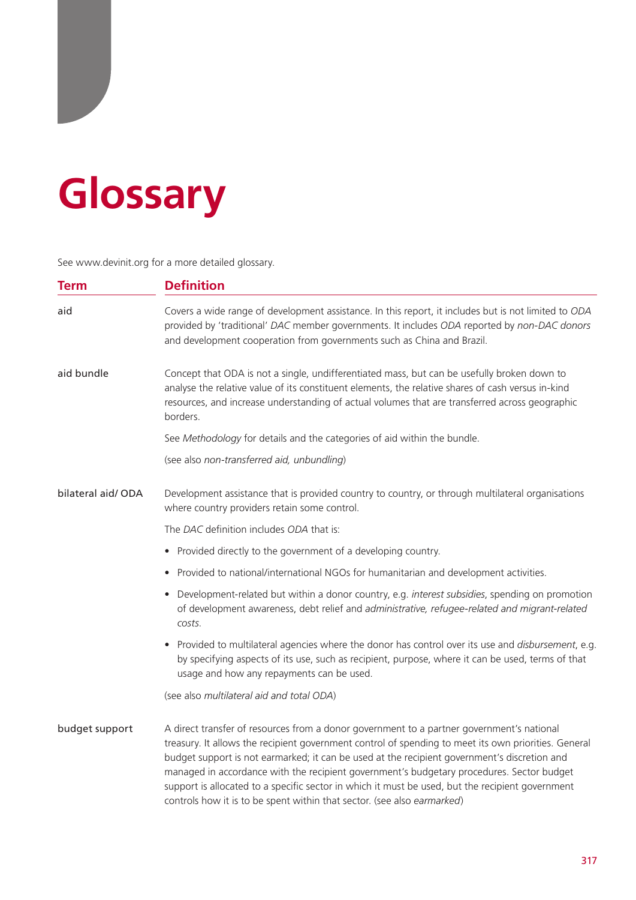## **Glossary**

See www.devinit.org for a more detailed glossary.

| <b>Term</b>       | <b>Definition</b>                                                                                                                                                                                                                                                                                                                                                                                                                                                                                                                                                             |  |  |  |
|-------------------|-------------------------------------------------------------------------------------------------------------------------------------------------------------------------------------------------------------------------------------------------------------------------------------------------------------------------------------------------------------------------------------------------------------------------------------------------------------------------------------------------------------------------------------------------------------------------------|--|--|--|
| aid               | Covers a wide range of development assistance. In this report, it includes but is not limited to ODA<br>provided by 'traditional' DAC member governments. It includes ODA reported by non-DAC donors<br>and development cooperation from governments such as China and Brazil.                                                                                                                                                                                                                                                                                                |  |  |  |
| aid bundle        | Concept that ODA is not a single, undifferentiated mass, but can be usefully broken down to<br>analyse the relative value of its constituent elements, the relative shares of cash versus in-kind<br>resources, and increase understanding of actual volumes that are transferred across geographic<br>borders.                                                                                                                                                                                                                                                               |  |  |  |
|                   | See Methodology for details and the categories of aid within the bundle.                                                                                                                                                                                                                                                                                                                                                                                                                                                                                                      |  |  |  |
|                   | (see also non-transferred aid, unbundling)                                                                                                                                                                                                                                                                                                                                                                                                                                                                                                                                    |  |  |  |
| bilateral aid/ODA | Development assistance that is provided country to country, or through multilateral organisations<br>where country providers retain some control.                                                                                                                                                                                                                                                                                                                                                                                                                             |  |  |  |
|                   | The DAC definition includes ODA that is:                                                                                                                                                                                                                                                                                                                                                                                                                                                                                                                                      |  |  |  |
|                   | • Provided directly to the government of a developing country.                                                                                                                                                                                                                                                                                                                                                                                                                                                                                                                |  |  |  |
|                   | • Provided to national/international NGOs for humanitarian and development activities.                                                                                                                                                                                                                                                                                                                                                                                                                                                                                        |  |  |  |
|                   | • Development-related but within a donor country, e.g. interest subsidies, spending on promotion<br>of development awareness, debt relief and administrative, refugee-related and migrant-related<br>costs.                                                                                                                                                                                                                                                                                                                                                                   |  |  |  |
|                   | . Provided to multilateral agencies where the donor has control over its use and disbursement, e.g.<br>by specifying aspects of its use, such as recipient, purpose, where it can be used, terms of that<br>usage and how any repayments can be used.                                                                                                                                                                                                                                                                                                                         |  |  |  |
|                   | (see also multilateral aid and total ODA)                                                                                                                                                                                                                                                                                                                                                                                                                                                                                                                                     |  |  |  |
| budget support    | A direct transfer of resources from a donor government to a partner government's national<br>treasury. It allows the recipient government control of spending to meet its own priorities. General<br>budget support is not earmarked; it can be used at the recipient government's discretion and<br>managed in accordance with the recipient government's budgetary procedures. Sector budget<br>support is allocated to a specific sector in which it must be used, but the recipient government<br>controls how it is to be spent within that sector. (see also earmarked) |  |  |  |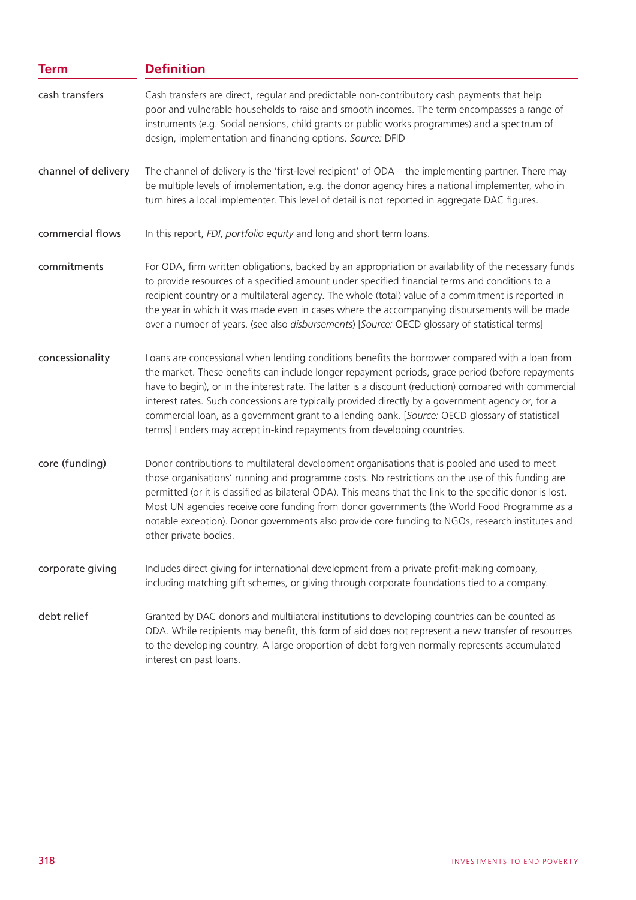| <b>Term</b>         | <b>Definition</b>                                                                                                                                                                                                                                                                                                                                                                                                                                                                                                                                                                               |  |
|---------------------|-------------------------------------------------------------------------------------------------------------------------------------------------------------------------------------------------------------------------------------------------------------------------------------------------------------------------------------------------------------------------------------------------------------------------------------------------------------------------------------------------------------------------------------------------------------------------------------------------|--|
| cash transfers      | Cash transfers are direct, regular and predictable non-contributory cash payments that help<br>poor and vulnerable households to raise and smooth incomes. The term encompasses a range of<br>instruments (e.g. Social pensions, child grants or public works programmes) and a spectrum of<br>design, implementation and financing options. Source: DFID                                                                                                                                                                                                                                       |  |
| channel of delivery | The channel of delivery is the 'first-level recipient' of ODA – the implementing partner. There may<br>be multiple levels of implementation, e.g. the donor agency hires a national implementer, who in<br>turn hires a local implementer. This level of detail is not reported in aggregate DAC figures.                                                                                                                                                                                                                                                                                       |  |
| commercial flows    | In this report, FDI, portfolio equity and long and short term loans.                                                                                                                                                                                                                                                                                                                                                                                                                                                                                                                            |  |
| commitments         | For ODA, firm written obligations, backed by an appropriation or availability of the necessary funds<br>to provide resources of a specified amount under specified financial terms and conditions to a<br>recipient country or a multilateral agency. The whole (total) value of a commitment is reported in<br>the year in which it was made even in cases where the accompanying disbursements will be made<br>over a number of years. (see also disbursements) [Source: OECD glossary of statistical terms]                                                                                  |  |
| concessionality     | Loans are concessional when lending conditions benefits the borrower compared with a loan from<br>the market. These benefits can include longer repayment periods, grace period (before repayments<br>have to begin), or in the interest rate. The latter is a discount (reduction) compared with commercial<br>interest rates. Such concessions are typically provided directly by a government agency or, for a<br>commercial loan, as a government grant to a lending bank. [Source: OECD glossary of statistical<br>terms] Lenders may accept in-kind repayments from developing countries. |  |
| core (funding)      | Donor contributions to multilateral development organisations that is pooled and used to meet<br>those organisations' running and programme costs. No restrictions on the use of this funding are<br>permitted (or it is classified as bilateral ODA). This means that the link to the specific donor is lost.<br>Most UN agencies receive core funding from donor governments (the World Food Programme as a<br>notable exception). Donor governments also provide core funding to NGOs, research institutes and<br>other private bodies.                                                      |  |
| corporate giving    | Includes direct giving for international development from a private profit-making company,<br>including matching gift schemes, or giving through corporate foundations tied to a company.                                                                                                                                                                                                                                                                                                                                                                                                       |  |
| debt relief         | Granted by DAC donors and multilateral institutions to developing countries can be counted as<br>ODA. While recipients may benefit, this form of aid does not represent a new transfer of resources<br>to the developing country. A large proportion of debt forgiven normally represents accumulated<br>interest on past loans.                                                                                                                                                                                                                                                                |  |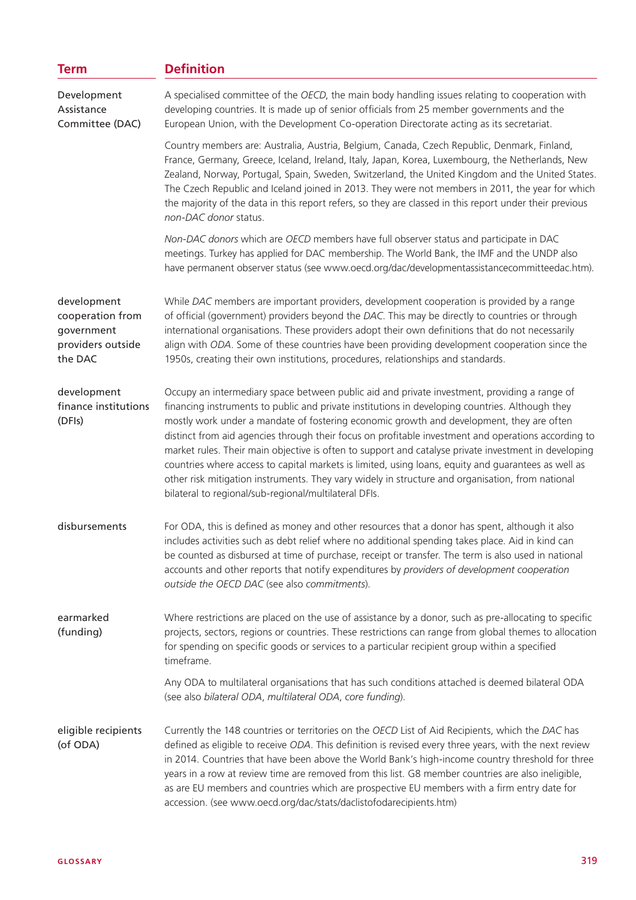| <b>Term</b>                                                                   | <b>Definition</b>                                                                                                                                                                                                                                                                                                                                                                                                                                                                                                                                                                                                                                                                                                                                                              |  |  |
|-------------------------------------------------------------------------------|--------------------------------------------------------------------------------------------------------------------------------------------------------------------------------------------------------------------------------------------------------------------------------------------------------------------------------------------------------------------------------------------------------------------------------------------------------------------------------------------------------------------------------------------------------------------------------------------------------------------------------------------------------------------------------------------------------------------------------------------------------------------------------|--|--|
| Development<br>Assistance<br>Committee (DAC)                                  | A specialised committee of the OECD, the main body handling issues relating to cooperation with<br>developing countries. It is made up of senior officials from 25 member governments and the<br>European Union, with the Development Co-operation Directorate acting as its secretariat.                                                                                                                                                                                                                                                                                                                                                                                                                                                                                      |  |  |
|                                                                               | Country members are: Australia, Austria, Belgium, Canada, Czech Republic, Denmark, Finland,<br>France, Germany, Greece, Iceland, Ireland, Italy, Japan, Korea, Luxembourg, the Netherlands, New<br>Zealand, Norway, Portugal, Spain, Sweden, Switzerland, the United Kingdom and the United States.<br>The Czech Republic and Iceland joined in 2013. They were not members in 2011, the year for which<br>the majority of the data in this report refers, so they are classed in this report under their previous<br>non-DAC donor status.                                                                                                                                                                                                                                    |  |  |
|                                                                               | Non-DAC donors which are OECD members have full observer status and participate in DAC<br>meetings. Turkey has applied for DAC membership. The World Bank, the IMF and the UNDP also<br>have permanent observer status (see www.oecd.org/dac/developmentassistancecommitteedac.htm).                                                                                                                                                                                                                                                                                                                                                                                                                                                                                           |  |  |
| development<br>cooperation from<br>government<br>providers outside<br>the DAC | While DAC members are important providers, development cooperation is provided by a range<br>of official (government) providers beyond the DAC. This may be directly to countries or through<br>international organisations. These providers adopt their own definitions that do not necessarily<br>align with ODA. Some of these countries have been providing development cooperation since the<br>1950s, creating their own institutions, procedures, relationships and standards.                                                                                                                                                                                                                                                                                          |  |  |
| development<br>finance institutions<br>(DFIs)                                 | Occupy an intermediary space between public aid and private investment, providing a range of<br>financing instruments to public and private institutions in developing countries. Although they<br>mostly work under a mandate of fostering economic growth and development, they are often<br>distinct from aid agencies through their focus on profitable investment and operations according to<br>market rules. Their main objective is often to support and catalyse private investment in developing<br>countries where access to capital markets is limited, using loans, equity and guarantees as well as<br>other risk mitigation instruments. They vary widely in structure and organisation, from national<br>bilateral to regional/sub-regional/multilateral DFIs. |  |  |
| disbursements                                                                 | For ODA, this is defined as money and other resources that a donor has spent, although it also<br>includes activities such as debt relief where no additional spending takes place. Aid in kind can<br>be counted as disbursed at time of purchase, receipt or transfer. The term is also used in national<br>accounts and other reports that notify expenditures by providers of development cooperation<br>outside the OECD DAC (see also commitments).                                                                                                                                                                                                                                                                                                                      |  |  |
| earmarked<br>(funding)                                                        | Where restrictions are placed on the use of assistance by a donor, such as pre-allocating to specific<br>projects, sectors, regions or countries. These restrictions can range from global themes to allocation<br>for spending on specific goods or services to a particular recipient group within a specified<br>timeframe.                                                                                                                                                                                                                                                                                                                                                                                                                                                 |  |  |
|                                                                               | Any ODA to multilateral organisations that has such conditions attached is deemed bilateral ODA<br>(see also bilateral ODA, multilateral ODA, core funding).                                                                                                                                                                                                                                                                                                                                                                                                                                                                                                                                                                                                                   |  |  |
| eligible recipients<br>(of ODA)                                               | Currently the 148 countries or territories on the OECD List of Aid Recipients, which the DAC has<br>defined as eligible to receive ODA. This definition is revised every three years, with the next review<br>in 2014. Countries that have been above the World Bank's high-income country threshold for three<br>years in a row at review time are removed from this list. G8 member countries are also ineligible,<br>as are EU members and countries which are prospective EU members with a firm entry date for<br>accession. (see www.oecd.org/dac/stats/daclistofodarecipients.htm)                                                                                                                                                                                      |  |  |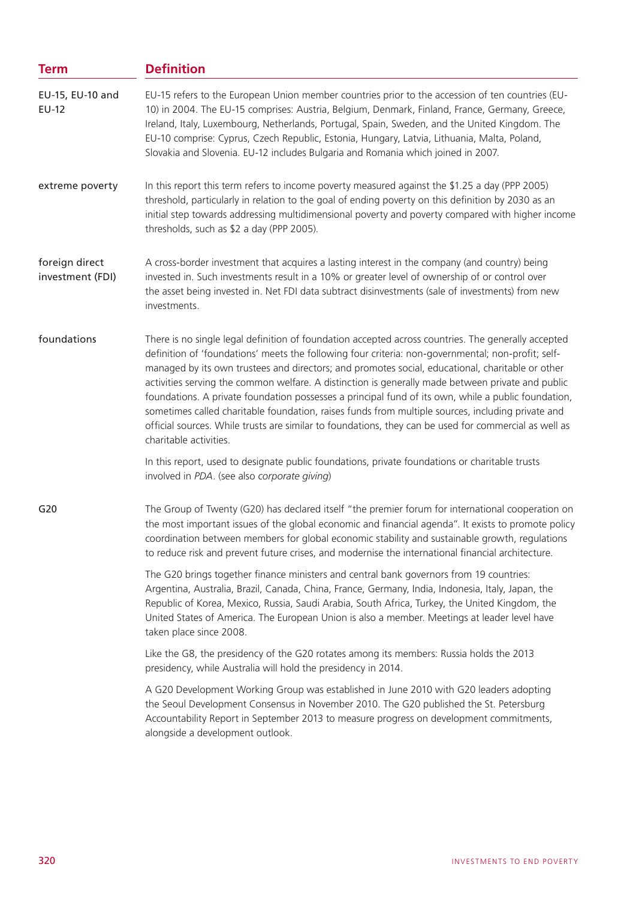| EU-15 refers to the European Union member countries prior to the accession of ten countries (EU-<br>10) in 2004. The EU-15 comprises: Austria, Belgium, Denmark, Finland, France, Germany, Greece,<br>Ireland, Italy, Luxembourg, Netherlands, Portugal, Spain, Sweden, and the United Kingdom. The<br>EU-10 comprise: Cyprus, Czech Republic, Estonia, Hungary, Latvia, Lithuania, Malta, Poland,<br>Slovakia and Slovenia. EU-12 includes Bulgaria and Romania which joined in 2007.                                                                                                                                                                                                                                                                            |  |  |  |
|-------------------------------------------------------------------------------------------------------------------------------------------------------------------------------------------------------------------------------------------------------------------------------------------------------------------------------------------------------------------------------------------------------------------------------------------------------------------------------------------------------------------------------------------------------------------------------------------------------------------------------------------------------------------------------------------------------------------------------------------------------------------|--|--|--|
| In this report this term refers to income poverty measured against the \$1.25 a day (PPP 2005)<br>threshold, particularly in relation to the goal of ending poverty on this definition by 2030 as an<br>initial step towards addressing multidimensional poverty and poverty compared with higher income<br>thresholds, such as \$2 a day (PPP 2005).                                                                                                                                                                                                                                                                                                                                                                                                             |  |  |  |
| A cross-border investment that acquires a lasting interest in the company (and country) being<br>invested in. Such investments result in a 10% or greater level of ownership of or control over<br>the asset being invested in. Net FDI data subtract disinvestments (sale of investments) from new<br>investments.                                                                                                                                                                                                                                                                                                                                                                                                                                               |  |  |  |
| There is no single legal definition of foundation accepted across countries. The generally accepted<br>definition of 'foundations' meets the following four criteria: non-governmental; non-profit; self-<br>managed by its own trustees and directors; and promotes social, educational, charitable or other<br>activities serving the common welfare. A distinction is generally made between private and public<br>foundations. A private foundation possesses a principal fund of its own, while a public foundation,<br>sometimes called charitable foundation, raises funds from multiple sources, including private and<br>official sources. While trusts are similar to foundations, they can be used for commercial as well as<br>charitable activities. |  |  |  |
| In this report, used to designate public foundations, private foundations or charitable trusts<br>involved in PDA. (see also corporate giving)                                                                                                                                                                                                                                                                                                                                                                                                                                                                                                                                                                                                                    |  |  |  |
| The Group of Twenty (G20) has declared itself "the premier forum for international cooperation on<br>the most important issues of the global economic and financial agenda". It exists to promote policy<br>coordination between members for global economic stability and sustainable growth, regulations<br>to reduce risk and prevent future crises, and modernise the international financial architecture.                                                                                                                                                                                                                                                                                                                                                   |  |  |  |
| The G20 brings together finance ministers and central bank governors from 19 countries:<br>Argentina, Australia, Brazil, Canada, China, France, Germany, India, Indonesia, Italy, Japan, the<br>Republic of Korea, Mexico, Russia, Saudi Arabia, South Africa, Turkey, the United Kingdom, the<br>United States of America. The European Union is also a member. Meetings at leader level have<br>taken place since 2008.                                                                                                                                                                                                                                                                                                                                         |  |  |  |
| Like the G8, the presidency of the G20 rotates among its members: Russia holds the 2013<br>presidency, while Australia will hold the presidency in 2014.                                                                                                                                                                                                                                                                                                                                                                                                                                                                                                                                                                                                          |  |  |  |
| A G20 Development Working Group was established in June 2010 with G20 leaders adopting<br>the Seoul Development Consensus in November 2010. The G20 published the St. Petersburg<br>Accountability Report in September 2013 to measure progress on development commitments,<br>alongside a development outlook.                                                                                                                                                                                                                                                                                                                                                                                                                                                   |  |  |  |
|                                                                                                                                                                                                                                                                                                                                                                                                                                                                                                                                                                                                                                                                                                                                                                   |  |  |  |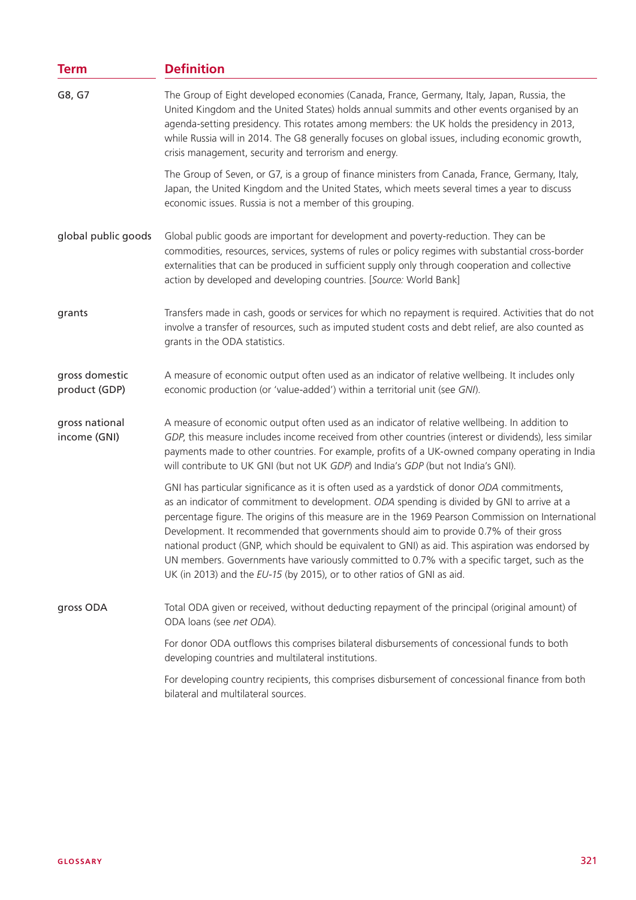| <b>Term</b>                     | <b>Definition</b>                                                                                                                                                                                                                                                                                                                                                                                                                                                                                                                                                                                                                                                           |  |  |  |
|---------------------------------|-----------------------------------------------------------------------------------------------------------------------------------------------------------------------------------------------------------------------------------------------------------------------------------------------------------------------------------------------------------------------------------------------------------------------------------------------------------------------------------------------------------------------------------------------------------------------------------------------------------------------------------------------------------------------------|--|--|--|
| G8, G7                          | The Group of Eight developed economies (Canada, France, Germany, Italy, Japan, Russia, the<br>United Kingdom and the United States) holds annual summits and other events organised by an<br>agenda-setting presidency. This rotates among members: the UK holds the presidency in 2013,<br>while Russia will in 2014. The G8 generally focuses on global issues, including economic growth,<br>crisis management, security and terrorism and energy.                                                                                                                                                                                                                       |  |  |  |
|                                 | The Group of Seven, or G7, is a group of finance ministers from Canada, France, Germany, Italy,<br>Japan, the United Kingdom and the United States, which meets several times a year to discuss<br>economic issues. Russia is not a member of this grouping.                                                                                                                                                                                                                                                                                                                                                                                                                |  |  |  |
| global public goods             | Global public goods are important for development and poverty-reduction. They can be<br>commodities, resources, services, systems of rules or policy regimes with substantial cross-border<br>externalities that can be produced in sufficient supply only through cooperation and collective<br>action by developed and developing countries. [Source: World Bank]                                                                                                                                                                                                                                                                                                         |  |  |  |
| grants                          | Transfers made in cash, goods or services for which no repayment is required. Activities that do not<br>involve a transfer of resources, such as imputed student costs and debt relief, are also counted as<br>grants in the ODA statistics.                                                                                                                                                                                                                                                                                                                                                                                                                                |  |  |  |
| gross domestic<br>product (GDP) | A measure of economic output often used as an indicator of relative wellbeing. It includes only<br>economic production (or 'value-added') within a territorial unit (see GNI).                                                                                                                                                                                                                                                                                                                                                                                                                                                                                              |  |  |  |
| gross national<br>income (GNI)  | A measure of economic output often used as an indicator of relative wellbeing. In addition to<br>GDP, this measure includes income received from other countries (interest or dividends), less similar<br>payments made to other countries. For example, profits of a UK-owned company operating in India<br>will contribute to UK GNI (but not UK GDP) and India's GDP (but not India's GNI).                                                                                                                                                                                                                                                                              |  |  |  |
|                                 | GNI has particular significance as it is often used as a yardstick of donor ODA commitments,<br>as an indicator of commitment to development. ODA spending is divided by GNI to arrive at a<br>percentage figure. The origins of this measure are in the 1969 Pearson Commission on International<br>Development. It recommended that governments should aim to provide 0.7% of their gross<br>national product (GNP, which should be equivalent to GNI) as aid. This aspiration was endorsed by<br>UN members. Governments have variously committed to 0.7% with a specific target, such as the<br>UK (in 2013) and the EU-15 (by 2015), or to other ratios of GNI as aid. |  |  |  |
| gross ODA                       | Total ODA given or received, without deducting repayment of the principal (original amount) of<br>ODA loans (see net ODA).                                                                                                                                                                                                                                                                                                                                                                                                                                                                                                                                                  |  |  |  |
|                                 | For donor ODA outflows this comprises bilateral disbursements of concessional funds to both<br>developing countries and multilateral institutions.                                                                                                                                                                                                                                                                                                                                                                                                                                                                                                                          |  |  |  |
|                                 | For developing country recipients, this comprises disbursement of concessional finance from both<br>bilateral and multilateral sources.                                                                                                                                                                                                                                                                                                                                                                                                                                                                                                                                     |  |  |  |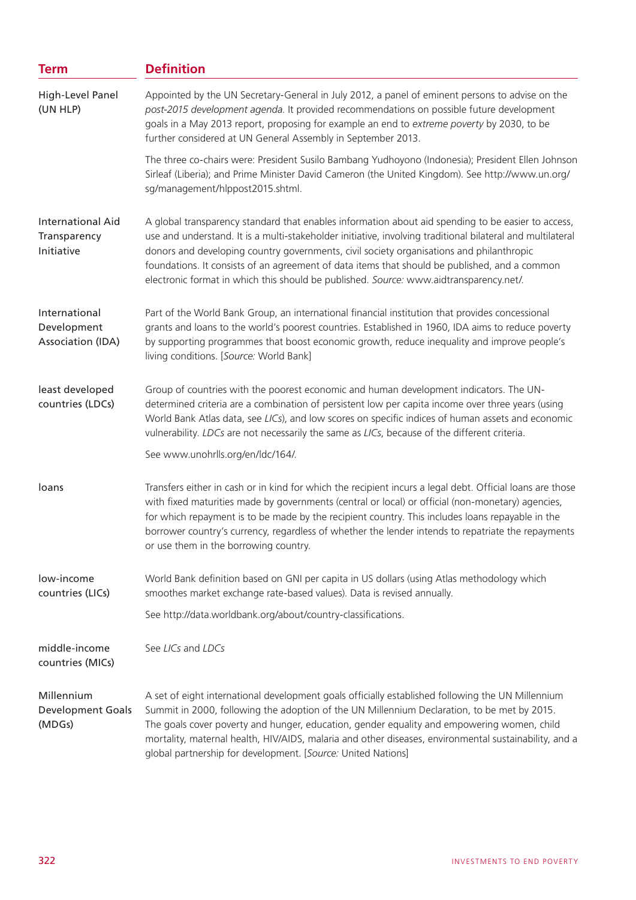| <b>Term</b>                                            | <b>Definition</b>                                                                                                                                                                                                                                                                                                                                                                                                                                                                                       |  |  |  |
|--------------------------------------------------------|---------------------------------------------------------------------------------------------------------------------------------------------------------------------------------------------------------------------------------------------------------------------------------------------------------------------------------------------------------------------------------------------------------------------------------------------------------------------------------------------------------|--|--|--|
| High-Level Panel<br>(UN HLP)                           | Appointed by the UN Secretary-General in July 2012, a panel of eminent persons to advise on the<br>post-2015 development agenda. It provided recommendations on possible future development<br>goals in a May 2013 report, proposing for example an end to extreme poverty by 2030, to be<br>further considered at UN General Assembly in September 2013.                                                                                                                                               |  |  |  |
|                                                        | The three co-chairs were: President Susilo Bambang Yudhoyono (Indonesia); President Ellen Johnson<br>Sirleaf (Liberia); and Prime Minister David Cameron (the United Kingdom). See http://www.un.org/<br>sg/management/hlppost2015.shtml.                                                                                                                                                                                                                                                               |  |  |  |
| <b>International Aid</b><br>Transparency<br>Initiative | A global transparency standard that enables information about aid spending to be easier to access,<br>use and understand. It is a multi-stakeholder initiative, involving traditional bilateral and multilateral<br>donors and developing country governments, civil society organisations and philanthropic<br>foundations. It consists of an agreement of data items that should be published, and a common<br>electronic format in which this should be published. Source: www.aidtransparency.net/. |  |  |  |
| International<br>Development<br>Association (IDA)      | Part of the World Bank Group, an international financial institution that provides concessional<br>grants and loans to the world's poorest countries. Established in 1960, IDA aims to reduce poverty<br>by supporting programmes that boost economic growth, reduce inequality and improve people's<br>living conditions. [Source: World Bank]                                                                                                                                                         |  |  |  |
| least developed<br>countries (LDCs)                    | Group of countries with the poorest economic and human development indicators. The UN-<br>determined criteria are a combination of persistent low per capita income over three years (using<br>World Bank Atlas data, see LICs), and low scores on specific indices of human assets and economic<br>vulnerability. LDCs are not necessarily the same as LICs, because of the different criteria.                                                                                                        |  |  |  |
|                                                        | See www.unohrlls.org/en/ldc/164/.                                                                                                                                                                                                                                                                                                                                                                                                                                                                       |  |  |  |
| loans                                                  | Transfers either in cash or in kind for which the recipient incurs a legal debt. Official loans are those<br>with fixed maturities made by governments (central or local) or official (non-monetary) agencies,<br>for which repayment is to be made by the recipient country. This includes loans repayable in the<br>borrower country's currency, regardless of whether the lender intends to repatriate the repayments<br>or use them in the borrowing country.                                       |  |  |  |
| low-income<br>countries (LICs)                         | World Bank definition based on GNI per capita in US dollars (using Atlas methodology which<br>smoothes market exchange rate-based values). Data is revised annually.                                                                                                                                                                                                                                                                                                                                    |  |  |  |
|                                                        | See http://data.worldbank.org/about/country-classifications.                                                                                                                                                                                                                                                                                                                                                                                                                                            |  |  |  |
| middle-income<br>countries (MICs)                      | See LICs and LDCs                                                                                                                                                                                                                                                                                                                                                                                                                                                                                       |  |  |  |
| Millennium<br><b>Development Goals</b><br>(MDGs)       | A set of eight international development goals officially established following the UN Millennium<br>Summit in 2000, following the adoption of the UN Millennium Declaration, to be met by 2015.<br>The goals cover poverty and hunger, education, gender equality and empowering women, child<br>mortality, maternal health, HIV/AIDS, malaria and other diseases, environmental sustainability, and a<br>global partnership for development. [Source: United Nations]                                 |  |  |  |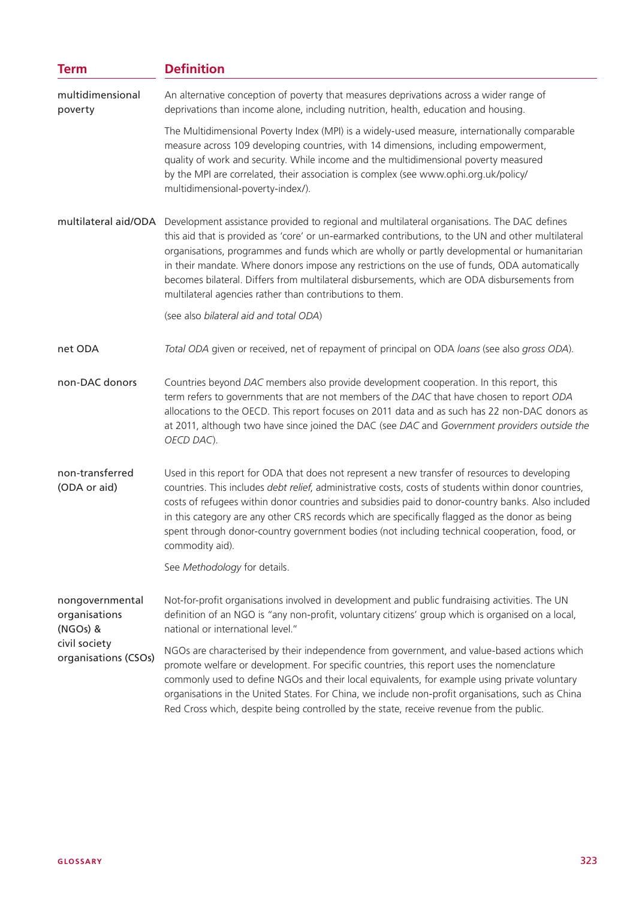| <b>Term</b>                                  | <b>Definition</b>                                                                                                                                                                                                                                                                                                                                                                                                                                                                                                                                               |  |  |
|----------------------------------------------|-----------------------------------------------------------------------------------------------------------------------------------------------------------------------------------------------------------------------------------------------------------------------------------------------------------------------------------------------------------------------------------------------------------------------------------------------------------------------------------------------------------------------------------------------------------------|--|--|
| multidimensional<br>poverty                  | An alternative conception of poverty that measures deprivations across a wider range of<br>deprivations than income alone, including nutrition, health, education and housing.                                                                                                                                                                                                                                                                                                                                                                                  |  |  |
|                                              | The Multidimensional Poverty Index (MPI) is a widely-used measure, internationally comparable<br>measure across 109 developing countries, with 14 dimensions, including empowerment,<br>quality of work and security. While income and the multidimensional poverty measured<br>by the MPI are correlated, their association is complex (see www.ophi.org.uk/policy/<br>multidimensional-poverty-index/).                                                                                                                                                       |  |  |
| multilateral aid/ODA                         | Development assistance provided to regional and multilateral organisations. The DAC defines<br>this aid that is provided as 'core' or un-earmarked contributions, to the UN and other multilateral<br>organisations, programmes and funds which are wholly or partly developmental or humanitarian<br>in their mandate. Where donors impose any restrictions on the use of funds, ODA automatically<br>becomes bilateral. Differs from multilateral disbursements, which are ODA disbursements from<br>multilateral agencies rather than contributions to them. |  |  |
|                                              | (see also bilateral aid and total ODA)                                                                                                                                                                                                                                                                                                                                                                                                                                                                                                                          |  |  |
| net ODA                                      | Total ODA given or received, net of repayment of principal on ODA loans (see also gross ODA).                                                                                                                                                                                                                                                                                                                                                                                                                                                                   |  |  |
| non-DAC donors                               | Countries beyond DAC members also provide development cooperation. In this report, this<br>term refers to governments that are not members of the DAC that have chosen to report ODA<br>allocations to the OECD. This report focuses on 2011 data and as such has 22 non-DAC donors as<br>at 2011, although two have since joined the DAC (see DAC and Government providers outside the<br>OECD DAC).                                                                                                                                                           |  |  |
| non-transferred<br>(ODA or aid)              | Used in this report for ODA that does not represent a new transfer of resources to developing<br>countries. This includes <i>debt relief</i> , administrative costs, costs of students within donor countries,<br>costs of refugees within donor countries and subsidies paid to donor-country banks. Also included<br>in this category are any other CRS records which are specifically flagged as the donor as being<br>spent through donor-country government bodies (not including technical cooperation, food, or<br>commodity aid).                       |  |  |
|                                              | See Methodology for details.                                                                                                                                                                                                                                                                                                                                                                                                                                                                                                                                    |  |  |
| nongovernmental<br>organisations<br>(NGOs) & | Not-for-profit organisations involved in development and public fundraising activities. The UN<br>definition of an NGO is "any non-profit, voluntary citizens' group which is organised on a local,<br>national or international level."                                                                                                                                                                                                                                                                                                                        |  |  |
| civil society<br>organisations (CSOs)        | NGOs are characterised by their independence from government, and value-based actions which<br>promote welfare or development. For specific countries, this report uses the nomenclature<br>commonly used to define NGOs and their local equivalents, for example using private voluntary<br>organisations in the United States. For China, we include non-profit organisations, such as China<br>Red Cross which, despite being controlled by the state, receive revenue from the public.                                                                      |  |  |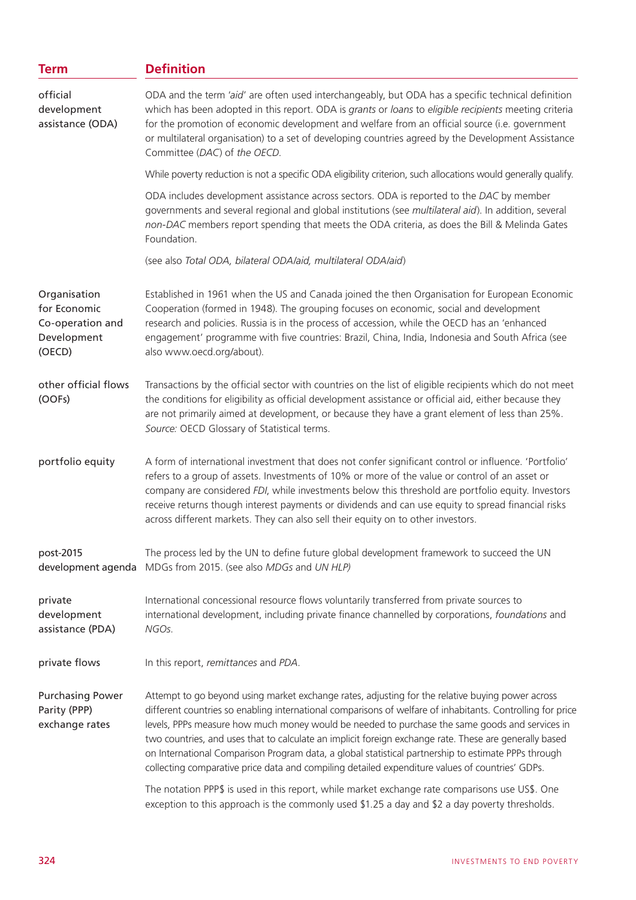| <b>Term</b>                                                               | <b>Definition</b>                                                                                                                                                                                                                                                                                                                                                                                                                                                                                                                                                                                                                    |  |  |
|---------------------------------------------------------------------------|--------------------------------------------------------------------------------------------------------------------------------------------------------------------------------------------------------------------------------------------------------------------------------------------------------------------------------------------------------------------------------------------------------------------------------------------------------------------------------------------------------------------------------------------------------------------------------------------------------------------------------------|--|--|
| official<br>development<br>assistance (ODA)                               | ODA and the term 'aid' are often used interchangeably, but ODA has a specific technical definition<br>which has been adopted in this report. ODA is grants or loans to eligible recipients meeting criteria<br>for the promotion of economic development and welfare from an official source (i.e. government<br>or multilateral organisation) to a set of developing countries agreed by the Development Assistance<br>Committee (DAC) of the OECD.                                                                                                                                                                                 |  |  |
|                                                                           | While poverty reduction is not a specific ODA eligibility criterion, such allocations would generally qualify.                                                                                                                                                                                                                                                                                                                                                                                                                                                                                                                       |  |  |
|                                                                           | ODA includes development assistance across sectors. ODA is reported to the DAC by member<br>governments and several regional and global institutions (see multilateral aid). In addition, several<br>non-DAC members report spending that meets the ODA criteria, as does the Bill & Melinda Gates<br>Foundation.                                                                                                                                                                                                                                                                                                                    |  |  |
|                                                                           | (see also Total ODA, bilateral ODA/aid, multilateral ODA/aid)                                                                                                                                                                                                                                                                                                                                                                                                                                                                                                                                                                        |  |  |
| Organisation<br>for Economic<br>Co-operation and<br>Development<br>(OECD) | Established in 1961 when the US and Canada joined the then Organisation for European Economic<br>Cooperation (formed in 1948). The grouping focuses on economic, social and development<br>research and policies. Russia is in the process of accession, while the OECD has an 'enhanced<br>engagement' programme with five countries: Brazil, China, India, Indonesia and South Africa (see<br>also www.oecd.org/about).                                                                                                                                                                                                            |  |  |
| other official flows<br>(OOFs)                                            | Transactions by the official sector with countries on the list of eligible recipients which do not meet<br>the conditions for eligibility as official development assistance or official aid, either because they<br>are not primarily aimed at development, or because they have a grant element of less than 25%.<br>Source: OECD Glossary of Statistical terms.                                                                                                                                                                                                                                                                   |  |  |
| portfolio equity                                                          | A form of international investment that does not confer significant control or influence. 'Portfolio'<br>refers to a group of assets. Investments of 10% or more of the value or control of an asset or<br>company are considered FDI, while investments below this threshold are portfolio equity. Investors<br>receive returns though interest payments or dividends and can use equity to spread financial risks<br>across different markets. They can also sell their equity on to other investors.                                                                                                                              |  |  |
| post-2015<br>development agenda                                           | The process led by the UN to define future global development framework to succeed the UN<br>MDGs from 2015. (see also MDGs and UN HLP)                                                                                                                                                                                                                                                                                                                                                                                                                                                                                              |  |  |
| private<br>development<br>assistance (PDA)                                | International concessional resource flows voluntarily transferred from private sources to<br>international development, including private finance channelled by corporations, foundations and<br>NGOs.                                                                                                                                                                                                                                                                                                                                                                                                                               |  |  |
| private flows                                                             | In this report, remittances and PDA.                                                                                                                                                                                                                                                                                                                                                                                                                                                                                                                                                                                                 |  |  |
| <b>Purchasing Power</b><br>Parity (PPP)<br>exchange rates                 | Attempt to go beyond using market exchange rates, adjusting for the relative buying power across<br>different countries so enabling international comparisons of welfare of inhabitants. Controlling for price<br>levels, PPPs measure how much money would be needed to purchase the same goods and services in<br>two countries, and uses that to calculate an implicit foreign exchange rate. These are generally based<br>on International Comparison Program data, a global statistical partnership to estimate PPPs through<br>collecting comparative price data and compiling detailed expenditure values of countries' GDPs. |  |  |
|                                                                           | The notation PPP\$ is used in this report, while market exchange rate comparisons use US\$. One<br>exception to this approach is the commonly used \$1.25 a day and \$2 a day poverty thresholds.                                                                                                                                                                                                                                                                                                                                                                                                                                    |  |  |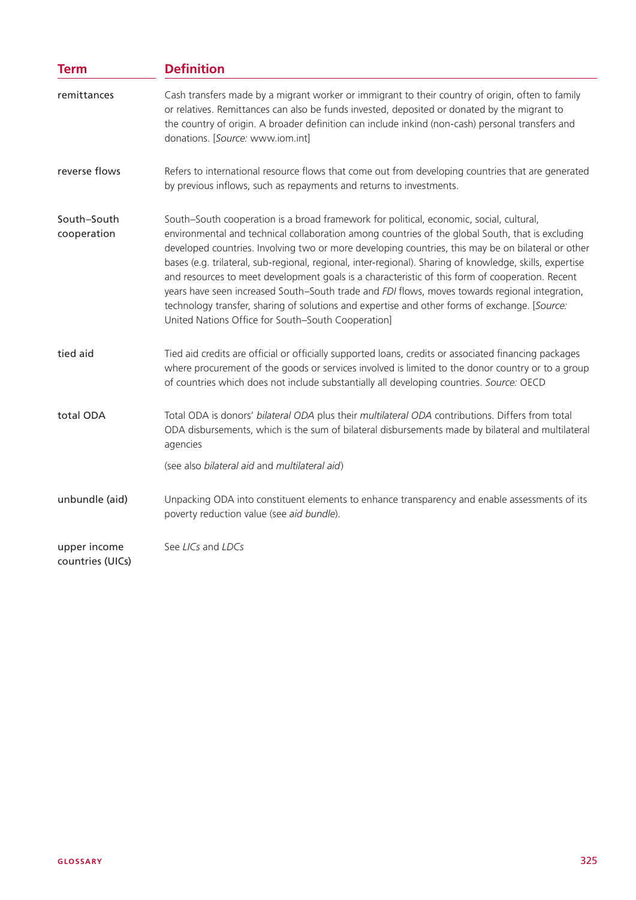| <b>Term</b>                      | <b>Definition</b>                                                                                                                                                                                                                                                                                                                                                                                                                                                                                                                                                                                                                                                                                                                                                         |  |  |
|----------------------------------|---------------------------------------------------------------------------------------------------------------------------------------------------------------------------------------------------------------------------------------------------------------------------------------------------------------------------------------------------------------------------------------------------------------------------------------------------------------------------------------------------------------------------------------------------------------------------------------------------------------------------------------------------------------------------------------------------------------------------------------------------------------------------|--|--|
| remittances                      | Cash transfers made by a migrant worker or immigrant to their country of origin, often to family<br>or relatives. Remittances can also be funds invested, deposited or donated by the migrant to<br>the country of origin. A broader definition can include inkind (non-cash) personal transfers and<br>donations. [Source: www.iom.int]                                                                                                                                                                                                                                                                                                                                                                                                                                  |  |  |
| reverse flows                    | Refers to international resource flows that come out from developing countries that are generated<br>by previous inflows, such as repayments and returns to investments.                                                                                                                                                                                                                                                                                                                                                                                                                                                                                                                                                                                                  |  |  |
| South-South<br>cooperation       | South-South cooperation is a broad framework for political, economic, social, cultural,<br>environmental and technical collaboration among countries of the global South, that is excluding<br>developed countries. Involving two or more developing countries, this may be on bilateral or other<br>bases (e.g. trilateral, sub-regional, regional, inter-regional). Sharing of knowledge, skills, expertise<br>and resources to meet development goals is a characteristic of this form of cooperation. Recent<br>years have seen increased South-South trade and FDI flows, moves towards regional integration,<br>technology transfer, sharing of solutions and expertise and other forms of exchange. [Source:<br>United Nations Office for South-South Cooperation] |  |  |
| tied aid                         | Tied aid credits are official or officially supported loans, credits or associated financing packages<br>where procurement of the goods or services involved is limited to the donor country or to a group<br>of countries which does not include substantially all developing countries. Source: OECD                                                                                                                                                                                                                                                                                                                                                                                                                                                                    |  |  |
| total ODA                        | Total ODA is donors' bilateral ODA plus their multilateral ODA contributions. Differs from total<br>ODA disbursements, which is the sum of bilateral disbursements made by bilateral and multilateral<br>agencies                                                                                                                                                                                                                                                                                                                                                                                                                                                                                                                                                         |  |  |
|                                  | (see also bilateral aid and multilateral aid)                                                                                                                                                                                                                                                                                                                                                                                                                                                                                                                                                                                                                                                                                                                             |  |  |
| unbundle (aid)                   | Unpacking ODA into constituent elements to enhance transparency and enable assessments of its<br>poverty reduction value (see aid bundle).                                                                                                                                                                                                                                                                                                                                                                                                                                                                                                                                                                                                                                |  |  |
| upper income<br>countries (UICs) | See LICs and LDCs                                                                                                                                                                                                                                                                                                                                                                                                                                                                                                                                                                                                                                                                                                                                                         |  |  |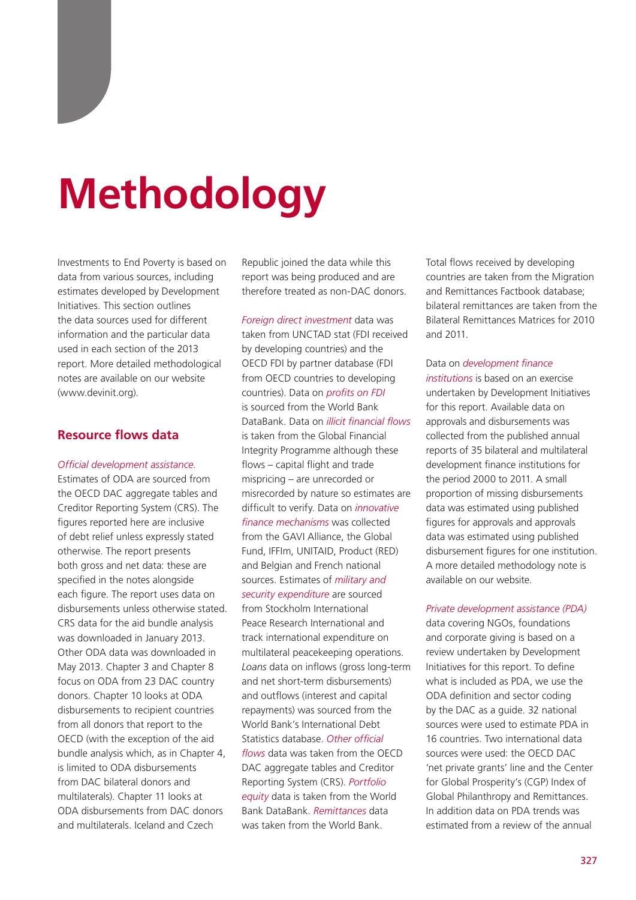# **Methodology**

Investments to End Poverty is based on data from various sources, including estimates developed by Development Initiatives. This section outlines the data sources used for different information and the particular data used in each section of the 2013 report. More detailed methodological notes are available on our website (www.devinit.org).

#### **Resource flows data**

#### *Official development assistance.*

Estimates of ODA are sourced from the OECD DAC aggregate tables and Creditor Reporting System (CRS). The figures reported here are inclusive of debt relief unless expressly stated otherwise. The report presents both gross and net data: these are specified in the notes alongside each figure. The report uses data on disbursements unless otherwise stated. CRS data for the aid bundle analysis was downloaded in January 2013. Other ODA data was downloaded in May 2013. Chapter 3 and Chapter 8 focus on ODA from 23 DAC country donors. Chapter 10 looks at ODA disbursements to recipient countries from all donors that report to the OECD (with the exception of the aid bundle analysis which, as in Chapter 4, is limited to ODA disbursements from DAC bilateral donors and multilaterals). Chapter 11 looks at ODA disbursements from DAC donors and multilaterals. Iceland and Czech

Republic joined the data while this report was being produced and are therefore treated as non-DAC donors.

*Foreign direct investment* data was taken from UNCTAD stat (FDI received by developing countries) and the OECD FDI by partner database (FDI from OECD countries to developing countries). Data on *profits on FDI*  is sourced from the World Bank DataBank. Data on *illicit financial flows*  is taken from the Global Financial Integrity Programme although these flows – capital flight and trade mispricing – are unrecorded or misrecorded by nature so estimates are difficult to verify. Data on *innovative finance mechanisms* was collected from the GAVI Alliance, the Global Fund, IFFIm, UNITAID, Product (RED) and Belgian and French national sources. Estimates of *military and security expenditure* are sourced from Stockholm International Peace Research International and track international expenditure on multilateral peacekeeping operations. *Loans* data on inflows (gross long-term and net short-term disbursements) and outflows (interest and capital repayments) was sourced from the World Bank's International Debt Statistics database. *Other official flows* data was taken from the OECD DAC aggregate tables and Creditor Reporting System (CRS). *Portfolio equity* data is taken from the World Bank DataBank. *Remittances* data was taken from the World Bank.

Total flows received by developing countries are taken from the Migration and Remittances Factbook database; bilateral remittances are taken from the Bilateral Remittances Matrices for 2010 and 2011.

Data on *development finance institutions* is based on an exercise undertaken by Development Initiatives for this report. Available data on approvals and disbursements was collected from the published annual reports of 35 bilateral and multilateral development finance institutions for the period 2000 to 2011. A small proportion of missing disbursements data was estimated using published figures for approvals and approvals data was estimated using published disbursement figures for one institution. A more detailed methodology note is available on our website.

#### *Private development assistance (PDA)*

data covering NGOs, foundations and corporate giving is based on a review undertaken by Development Initiatives for this report. To define what is included as PDA, we use the ODA definition and sector coding by the DAC as a guide. 32 national sources were used to estimate PDA in 16 countries. Two international data sources were used: the OECD DAC 'net private grants' line and the Center for Global Prosperity's (CGP) Index of Global Philanthropy and Remittances. In addition data on PDA trends was estimated from a review of the annual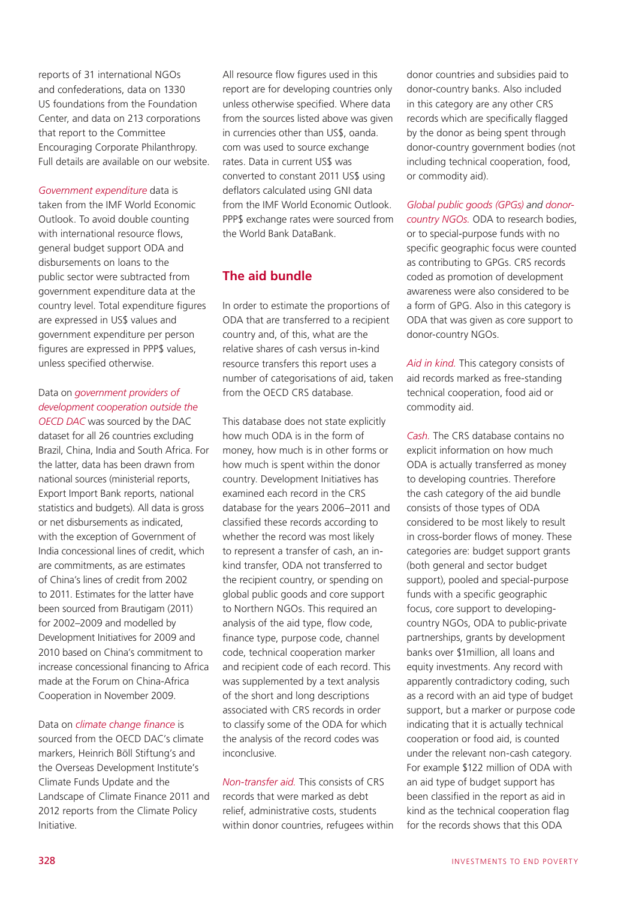reports of 31 international NGOs and confederations, data on 1330 US foundations from the Foundation Center, and data on 213 corporations that report to the Committee Encouraging Corporate Philanthropy. Full details are available on our website.

*Government expenditure* data is taken from the IMF World Economic Outlook. To avoid double counting with international resource flows, general budget support ODA and disbursements on loans to the public sector were subtracted from government expenditure data at the country level. Total expenditure figures are expressed in US\$ values and government expenditure per person figures are expressed in PPP\$ values, unless specified otherwise.

## Data on *government providers of development cooperation outside the*

*OECD DAC* was sourced by the DAC dataset for all 26 countries excluding Brazil, China, India and South Africa. For the latter, data has been drawn from national sources (ministerial reports, Export Import Bank reports, national statistics and budgets). All data is gross or net disbursements as indicated, with the exception of Government of India concessional lines of credit, which are commitments, as are estimates of China's lines of credit from 2002 to 2011. Estimates for the latter have been sourced from Brautigam (2011) for 2002–2009 and modelled by Development Initiatives for 2009 and 2010 based on China's commitment to increase concessional financing to Africa made at the Forum on China-Africa Cooperation in November 2009.

#### Data on *climate change finance* is

sourced from the OECD DAC's climate markers, Heinrich Böll Stiftung's and the Overseas Development Institute's Climate Funds Update and the Landscape of Climate Finance 2011 and 2012 reports from the Climate Policy Initiative.

All resource flow figures used in this report are for developing countries only unless otherwise specified. Where data from the sources listed above was given in currencies other than US\$, oanda. com was used to source exchange rates. Data in current US\$ was converted to constant 2011 US\$ using deflators calculated using GNI data from the IMF World Economic Outlook. PPP\$ exchange rates were sourced from the World Bank DataBank.

## **The aid bundle**

In order to estimate the proportions of ODA that are transferred to a recipient country and, of this, what are the relative shares of cash versus in-kind resource transfers this report uses a number of categorisations of aid, taken from the OECD CRS database.

This database does not state explicitly how much ODA is in the form of money, how much is in other forms or how much is spent within the donor country. Development Initiatives has examined each record in the CRS database for the years 2006–2011 and classified these records according to whether the record was most likely to represent a transfer of cash, an inkind transfer, ODA not transferred to the recipient country, or spending on global public goods and core support to Northern NGOs. This required an analysis of the aid type, flow code, finance type, purpose code, channel code, technical cooperation marker and recipient code of each record. This was supplemented by a text analysis of the short and long descriptions associated with CRS records in order to classify some of the ODA for which the analysis of the record codes was inconclusive.

*Non-transfer aid.* This consists of CRS records that were marked as debt relief, administrative costs, students within donor countries, refugees within donor countries and subsidies paid to donor-country banks. Also included in this category are any other CRS records which are specifically flagged by the donor as being spent through donor-country government bodies (not including technical cooperation, food, or commodity aid).

*Global public goods (GPGs) and donorcountry NGOs.* ODA to research bodies, or to special-purpose funds with no specific geographic focus were counted as contributing to GPGs. CRS records coded as promotion of development awareness were also considered to be a form of GPG. Also in this category is ODA that was given as core support to donor-country NGOs.

*Aid in kind.* This category consists of aid records marked as free-standing technical cooperation, food aid or commodity aid.

*Cash.* The CRS database contains no explicit information on how much ODA is actually transferred as money to developing countries. Therefore the cash category of the aid bundle consists of those types of ODA considered to be most likely to result in cross-border flows of money. These categories are: budget support grants (both general and sector budget support), pooled and special-purpose funds with a specific geographic focus, core support to developingcountry NGOs, ODA to public-private partnerships, grants by development banks over \$1million, all loans and equity investments. Any record with apparently contradictory coding, such as a record with an aid type of budget support, but a marker or purpose code indicating that it is actually technical cooperation or food aid, is counted under the relevant non-cash category. For example \$122 million of ODA with an aid type of budget support has been classified in the report as aid in kind as the technical cooperation flag for the records shows that this ODA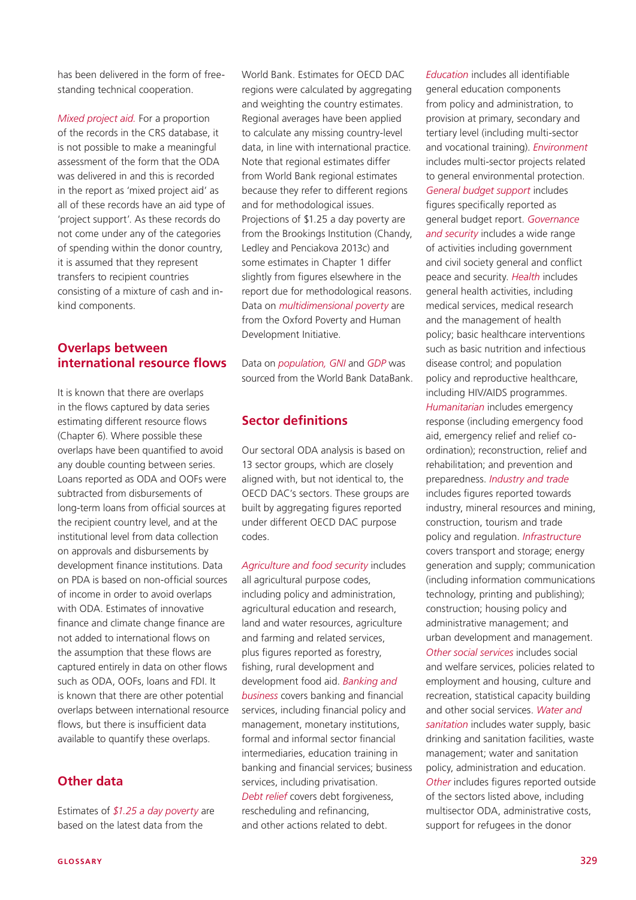has been delivered in the form of freestanding technical cooperation.

*Mixed project aid.* For a proportion of the records in the CRS database, it is not possible to make a meaningful assessment of the form that the ODA was delivered in and this is recorded in the report as 'mixed project aid' as all of these records have an aid type of 'project support'. As these records do not come under any of the categories of spending within the donor country, it is assumed that they represent transfers to recipient countries consisting of a mixture of cash and inkind components.

#### **Overlaps between international resource flows**

It is known that there are overlaps in the flows captured by data series estimating different resource flows (Chapter 6). Where possible these overlaps have been quantified to avoid any double counting between series. Loans reported as ODA and OOFs were subtracted from disbursements of long-term loans from official sources at the recipient country level, and at the institutional level from data collection on approvals and disbursements by development finance institutions. Data on PDA is based on non-official sources of income in order to avoid overlaps with ODA. Estimates of innovative finance and climate change finance are not added to international flows on the assumption that these flows are captured entirely in data on other flows such as ODA, OOFs, loans and FDI. It is known that there are other potential overlaps between international resource flows, but there is insufficient data available to quantify these overlaps.

#### **Other data**

Estimates of *\$1.25 a day poverty* are based on the latest data from the

World Bank. Estimates for OECD DAC regions were calculated by aggregating and weighting the country estimates. Regional averages have been applied to calculate any missing country-level data, in line with international practice. Note that regional estimates differ from World Bank regional estimates because they refer to different regions and for methodological issues. Projections of \$1.25 a day poverty are from the Brookings Institution (Chandy, Ledley and Penciakova 2013c) and some estimates in Chapter 1 differ slightly from figures elsewhere in the report due for methodological reasons. Data on *multidimensional poverty* are from the Oxford Poverty and Human Development Initiative.

Data on *population, GNI* and *GDP* was sourced from the World Bank DataBank.

## **Sector definitions**

Our sectoral ODA analysis is based on 13 sector groups, which are closely aligned with, but not identical to, the OECD DAC's sectors. These groups are built by aggregating figures reported under different OECD DAC purpose codes.

*Agriculture and food security* includes all agricultural purpose codes, including policy and administration, agricultural education and research, land and water resources, agriculture and farming and related services, plus figures reported as forestry, fishing, rural development and development food aid. *Banking and business* covers banking and financial services, including financial policy and management, monetary institutions, formal and informal sector financial intermediaries, education training in banking and financial services; business services, including privatisation. *Debt relief* covers debt forgiveness, rescheduling and refinancing, and other actions related to debt.

*Education* includes all identifiable general education components from policy and administration, to provision at primary, secondary and tertiary level (including multi-sector and vocational training). *Environment* includes multi-sector projects related to general environmental protection. *General budget support* includes figures specifically reported as general budget report. *Governance and security* includes a wide range of activities including government and civil society general and conflict peace and security. *Health* includes general health activities, including medical services, medical research and the management of health policy; basic healthcare interventions such as basic nutrition and infectious disease control; and population policy and reproductive healthcare, including HIV/AIDS programmes. *Humanitarian* includes emergency response (including emergency food aid, emergency relief and relief coordination); reconstruction, relief and rehabilitation; and prevention and preparedness. *Industry and trade* includes figures reported towards industry, mineral resources and mining, construction, tourism and trade policy and regulation. *Infrastructure* covers transport and storage; energy generation and supply; communication (including information communications technology, printing and publishing); construction; housing policy and administrative management; and urban development and management. *Other social services* includes social and welfare services, policies related to employment and housing, culture and recreation, statistical capacity building and other social services. *Water and sanitation* includes water supply, basic drinking and sanitation facilities, waste management; water and sanitation policy, administration and education. *Other* includes figures reported outside of the sectors listed above, including multisector ODA, administrative costs, support for refugees in the donor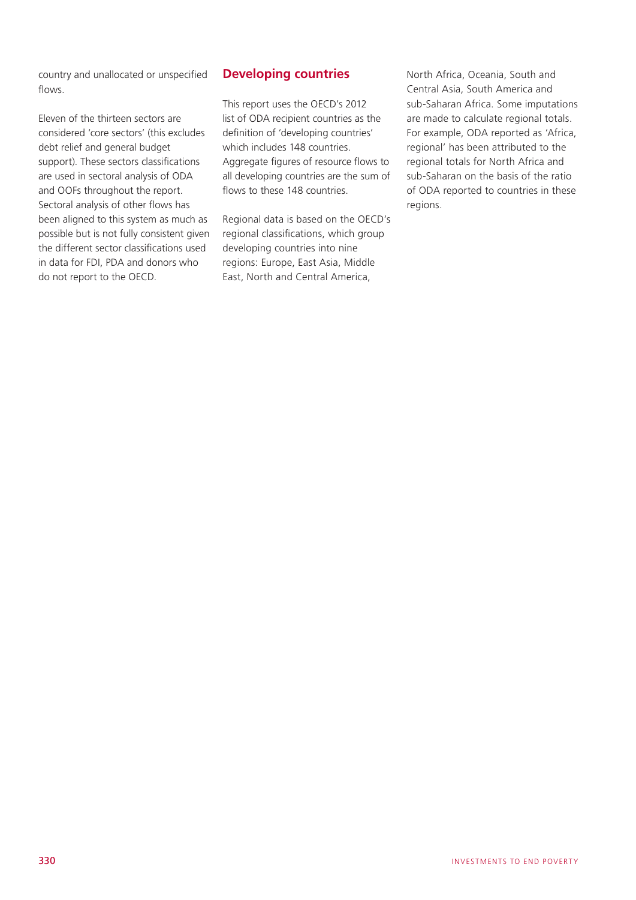country and unallocated or unspecified flows.

Eleven of the thirteen sectors are considered 'core sectors' (this excludes debt relief and general budget support). These sectors classifications are used in sectoral analysis of ODA and OOFs throughout the report. Sectoral analysis of other flows has been aligned to this system as much as possible but is not fully consistent given the different sector classifications used in data for FDI, PDA and donors who do not report to the OECD.

#### **Developing countries**

This report uses the OECD's 2012 list of ODA recipient countries as the definition of 'developing countries' which includes 148 countries. Aggregate figures of resource flows to all developing countries are the sum of flows to these 148 countries.

Regional data is based on the OECD's regional classifications, which group developing countries into nine regions: Europe, East Asia, Middle East, North and Central America,

North Africa, Oceania, South and Central Asia, South America and sub-Saharan Africa. Some imputations are made to calculate regional totals. For example, ODA reported as 'Africa, regional' has been attributed to the regional totals for North Africa and sub-Saharan on the basis of the ratio of ODA reported to countries in these regions.